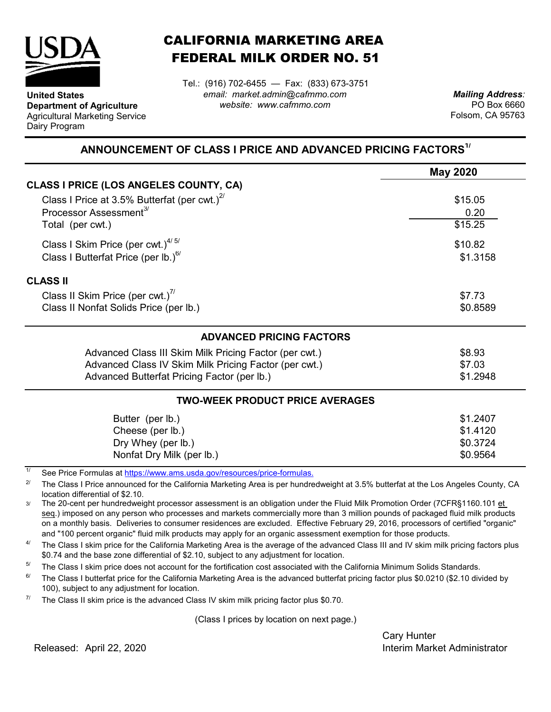

**United States**

Dairy Program

**Department of Agriculture** Agricultural Marketing Service

## CALIFORNIA MARKETING AREA FEDERAL MILK ORDER NO. 51

*email: market.admin@cafmmo.com website: www.cafmmo.com* Tel.: (916) 702-6455 — Fax: (833) 673-3751

*Mailing Address:* PO Box 6660 Folsom, CA 95763

## **ANNOUNCEMENT OF CLASS I PRICE AND ADVANCED PRICING FACTORS1/**

|                                                                               | <b>May 2020</b> |  |  |
|-------------------------------------------------------------------------------|-----------------|--|--|
| CLASS I PRICE (LOS ANGELES COUNTY, CA)                                        |                 |  |  |
| Class I Price at 3.5% Butterfat (per cwt.) $2^{7}$                            | \$15.05         |  |  |
| Processor Assessment <sup>3/</sup>                                            | 0.20            |  |  |
| Total (per cwt.)                                                              | \$15.25         |  |  |
| Class I Skim Price (per cwt.) $4/5/$                                          | \$10.82         |  |  |
| Class I Butterfat Price (per lb.) $^{6/}$                                     | \$1.3158        |  |  |
| <b>CLASS II</b>                                                               |                 |  |  |
| Class II Skim Price (per cwt.)"                                               | \$7.73          |  |  |
| Class II Nonfat Solids Price (per lb.)                                        | \$0.8589        |  |  |
| <b>ADVANCED PRICING FACTORS</b>                                               |                 |  |  |
| Advanced Class III Skim Milk Pricing Factor (per cwt.)                        | \$8.93          |  |  |
| Advanced Class IV Skim Milk Pricing Factor (per cwt.)                         | \$7.03          |  |  |
| Advanced Butterfat Pricing Factor (per lb.)                                   |                 |  |  |
| <b>TWO-WEEK PRODUCT PRICE AVERAGES</b>                                        |                 |  |  |
| Butter (per lb.)                                                              | \$1.2407        |  |  |
| Cheese (per lb.)                                                              | \$1.4120        |  |  |
| Dry Whey (per lb.)                                                            | \$0.3724        |  |  |
| Nonfat Dry Milk (per lb.)                                                     | \$0.9564        |  |  |
| 1/<br>Cae Dries Fermulae at https://www.ame.uado.gov/reseurcea/prise fermulae |                 |  |  |

See Price Formulas at https://www.ams.usda.gov/resources/price-formulas.

2/ The Class I Price announced for the California Marketing Area is per hundredweight at 3.5% butterfat at the Los Angeles County, CA location differential of \$2.10.

3/ The 20-cent per hundredweight processor assessment is an obligation under the Fluid Milk Promotion Order (7CFR§1160.101 et seg.) imposed on any person who processes and markets commercially more than 3 million pounds of packaged fluid milk products on a monthly basis. Deliveries to consumer residences are excluded. Effective February 29, 2016, processors of certified "organic" and "100 percent organic" fluid milk products may apply for an organic assessment exemption for those products.

4/ The Class I skim price for the California Marketing Area is the average of the advanced Class III and IV skim milk pricing factors plus \$0.74 and the base zone differential of \$2.10, subject to any adjustment for location.

5/ The Class I skim price does not account for the fortification cost associated with the California Minimum Solids Standards.

6/ The Class I butterfat price for the California Marketing Area is the advanced butterfat pricing factor plus \$0.0210 (\$2.10 divided by 100), subject to any adjustment for location.

7/ The Class II skim price is the advanced Class IV skim milk pricing factor plus \$0.70.

(Class I prices by location on next page.)

Cary Hunter Released: Interim Market Administrator April 22, 2020